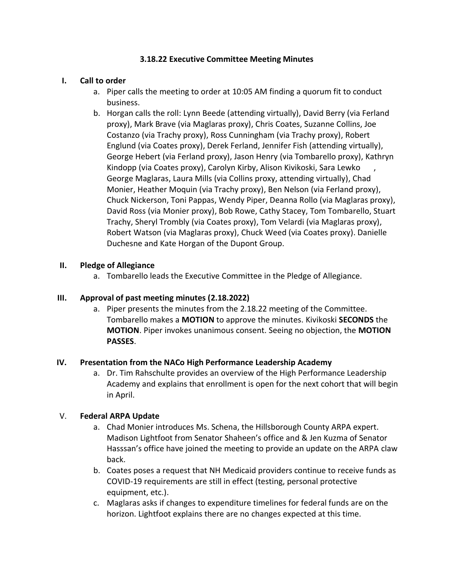## **3.18.22 Executive Committee Meeting Minutes**

### **I. Call to order**

- a. Piper calls the meeting to order at 10:05 AM finding a quorum fit to conduct business.
- b. Horgan calls the roll: Lynn Beede (attending virtually), David Berry (via Ferland proxy), Mark Brave (via Maglaras proxy), Chris Coates, Suzanne Collins, Joe Costanzo (via Trachy proxy), Ross Cunningham (via Trachy proxy), Robert Englund (via Coates proxy), Derek Ferland, Jennifer Fish (attending virtually), George Hebert (via Ferland proxy), Jason Henry (via Tombarello proxy), Kathryn Kindopp (via Coates proxy), Carolyn Kirby, Alison Kivikoski, Sara Lewko , George Maglaras, Laura Mills (via Collins proxy, attending virtually), Chad Monier, Heather Moquin (via Trachy proxy), Ben Nelson (via Ferland proxy), Chuck Nickerson, Toni Pappas, Wendy Piper, Deanna Rollo (via Maglaras proxy), David Ross (via Monier proxy), Bob Rowe, Cathy Stacey, Tom Tombarello, Stuart Trachy, Sheryl Trombly (via Coates proxy), Tom Velardi (via Maglaras proxy), Robert Watson (via Maglaras proxy), Chuck Weed (via Coates proxy). Danielle Duchesne and Kate Horgan of the Dupont Group.

### **II. Pledge of Allegiance**

a. Tombarello leads the Executive Committee in the Pledge of Allegiance.

#### **III. Approval of past meeting minutes (2.18.2022)**

a. Piper presents the minutes from the 2.18.22 meeting of the Committee. Tombarello makes a **MOTION** to approve the minutes. Kivikoski **SECONDS** the **MOTION**. Piper invokes unanimous consent. Seeing no objection, the **MOTION PASSES**.

#### **IV. Presentation from the NACo High Performance Leadership Academy**

a. Dr. Tim Rahschulte provides an overview of the High Performance Leadership Academy and explains that enrollment is open for the next cohort that will begin in April.

# V. **Federal ARPA Update**

- a. Chad Monier introduces Ms. Schena, the Hillsborough County ARPA expert. Madison Lightfoot from Senator Shaheen's office and & Jen Kuzma of Senator Hasssan's office have joined the meeting to provide an update on the ARPA claw back.
- b. Coates poses a request that NH Medicaid providers continue to receive funds as COVID-19 requirements are still in effect (testing, personal protective equipment, etc.).
- c. Maglaras asks if changes to expenditure timelines for federal funds are on the horizon. Lightfoot explains there are no changes expected at this time.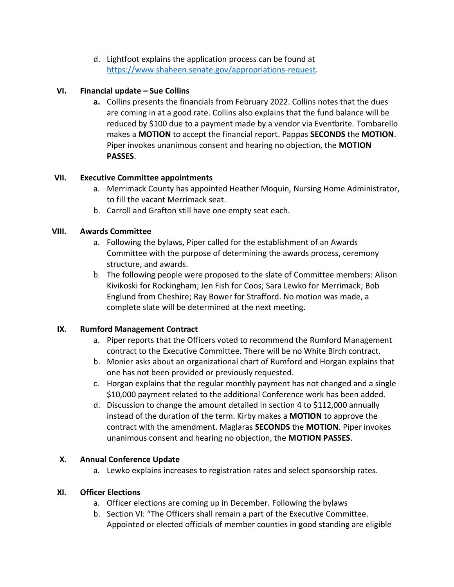d. Lightfoot explains the application process can be found at [https://www.shaheen.senate.gov/appropriations-request.](https://www.shaheen.senate.gov/appropriations-request)

## **VI. Financial update – Sue Collins**

**a.** Collins presents the financials from February 2022. Collins notes that the dues are coming in at a good rate. Collins also explains that the fund balance will be reduced by \$100 due to a payment made by a vendor via Eventbrite. Tombarello makes a **MOTION** to accept the financial report. Pappas **SECONDS** the **MOTION**. Piper invokes unanimous consent and hearing no objection, the **MOTION PASSES**.

### **VII. Executive Committee appointments**

- a. Merrimack County has appointed Heather Moquin, Nursing Home Administrator, to fill the vacant Merrimack seat.
- b. Carroll and Grafton still have one empty seat each.

### **VIII. Awards Committee**

- a. Following the bylaws, Piper called for the establishment of an Awards Committee with the purpose of determining the awards process, ceremony structure, and awards.
- b. The following people were proposed to the slate of Committee members: Alison Kivikoski for Rockingham; Jen Fish for Coos; Sara Lewko for Merrimack; Bob Englund from Cheshire; Ray Bower for Strafford. No motion was made, a complete slate will be determined at the next meeting.

# **IX. Rumford Management Contract**

- a. Piper reports that the Officers voted to recommend the Rumford Management contract to the Executive Committee. There will be no White Birch contract.
- b. Monier asks about an organizational chart of Rumford and Horgan explains that one has not been provided or previously requested.
- c. Horgan explains that the regular monthly payment has not changed and a single \$10,000 payment related to the additional Conference work has been added.
- d. Discussion to change the amount detailed in section 4 to \$112,000 annually instead of the duration of the term. Kirby makes a **MOTION** to approve the contract with the amendment. Maglaras **SECONDS** the **MOTION**. Piper invokes unanimous consent and hearing no objection, the **MOTION PASSES**.

# **X. Annual Conference Update**

a. Lewko explains increases to registration rates and select sponsorship rates.

# **XI. Officer Elections**

- a. Officer elections are coming up in December. Following the bylaws
- b. Section VI: "The Officers shall remain a part of the Executive Committee. Appointed or elected officials of member counties in good standing are eligible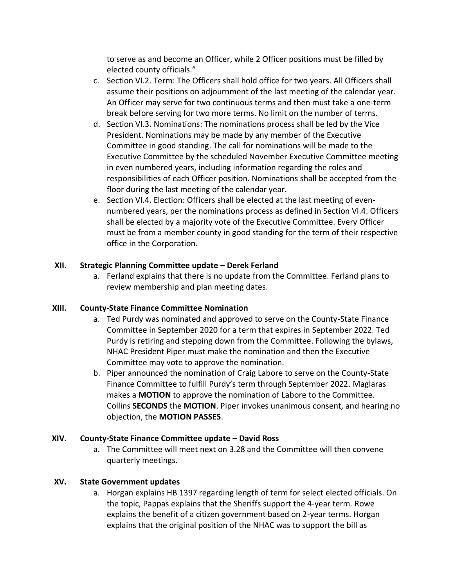to serve as and become an Officer, while 2 Officer positions must be filled by elected county officials."

- c. Section VI.2. Term: The Officers shall hold office for two years. All Officers shall assume their positions on adjournment of the last meeting of the calendar year. An Officer may serve for two continuous terms and then must take a one-term break before serving for two more terms. No limit on the number of terms.
- d. Section VI.3. Nominations: The nominations process shall be led by the Vice President. Nominations may be made by any member of the Executive Committee in good standing. The call for nominations will be made to the Executive Committee by the scheduled November Executive Committee meeting in even numbered years, including information regarding the roles and responsibilities of each Officer position. Nominations shall be accepted from the floor during the last meeting of the calendar year.
- e. Section VI.4. Election: Officers shall be elected at the last meeting of evennumbered years, per the nominations process as defined in Section VI.4. Officers shall be elected by a majority vote of the Executive Committee. Every Officer must be from a member county in good standing for the term of their respective office in the Corporation.

# **XII. Strategic Planning Committee update – Derek Ferland**

a. Ferland explains that there is no update from the Committee. Ferland plans to review membership and plan meeting dates.

# **XIII. County-State Finance Committee Nomination**

- a. Ted Purdy was nominated and approved to serve on the County-State Finance Committee in September 2020 for a term that expires in September 2022. Ted Purdy is retiring and stepping down from the Committee. Following the bylaws, NHAC President Piper must make the nomination and then the Executive Committee may vote to approve the nomination.
- b. Piper announced the nomination of Craig Labore to serve on the County-State Finance Committee to fulfill Purdy's term through September 2022. Maglaras makes a **MOTION** to approve the nomination of Labore to the Committee. Collins **SECONDS** the **MOTION**. Piper invokes unanimous consent, and hearing no objection, the **MOTION PASSES**.

# **XIV. County-State Finance Committee update – David Ross**

a. The Committee will meet next on 3.28 and the Committee will then convene quarterly meetings.

# **XV. State Government updates**

a. Horgan explains HB 1397 regarding length of term for select elected officials. On the topic, Pappas explains that the Sheriffs support the 4-year term. Rowe explains the benefit of a citizen government based on 2-year terms. Horgan explains that the original position of the NHAC was to support the bill as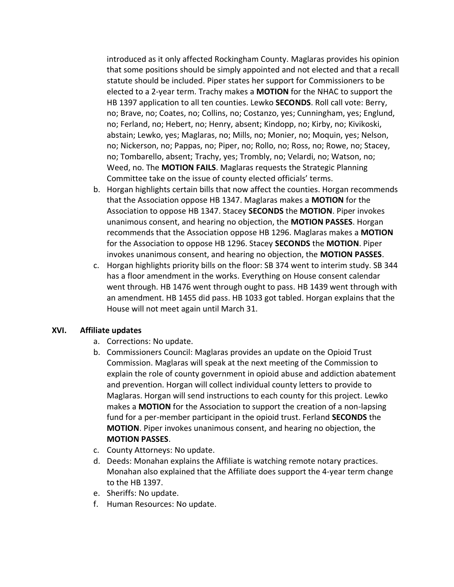introduced as it only affected Rockingham County. Maglaras provides his opinion that some positions should be simply appointed and not elected and that a recall statute should be included. Piper states her support for Commissioners to be elected to a 2-year term. Trachy makes a **MOTION** for the NHAC to support the HB 1397 application to all ten counties. Lewko **SECONDS**. Roll call vote: Berry, no; Brave, no; Coates, no; Collins, no; Costanzo, yes; Cunningham, yes; Englund, no; Ferland, no; Hebert, no; Henry, absent; Kindopp, no; Kirby, no; Kivikoski, abstain; Lewko, yes; Maglaras, no; Mills, no; Monier, no; Moquin, yes; Nelson, no; Nickerson, no; Pappas, no; Piper, no; Rollo, no; Ross, no; Rowe, no; Stacey, no; Tombarello, absent; Trachy, yes; Trombly, no; Velardi, no; Watson, no; Weed, no. The **MOTION FAILS**. Maglaras requests the Strategic Planning Committee take on the issue of county elected officials' terms.

- b. Horgan highlights certain bills that now affect the counties. Horgan recommends that the Association oppose HB 1347. Maglaras makes a **MOTION** for the Association to oppose HB 1347. Stacey **SECONDS** the **MOTION**. Piper invokes unanimous consent, and hearing no objection, the **MOTION PASSES**. Horgan recommends that the Association oppose HB 1296. Maglaras makes a **MOTION** for the Association to oppose HB 1296. Stacey **SECONDS** the **MOTION**. Piper invokes unanimous consent, and hearing no objection, the **MOTION PASSES**.
- c. Horgan highlights priority bills on the floor: SB 374 went to interim study. SB 344 has a floor amendment in the works. Everything on House consent calendar went through. HB 1476 went through ought to pass. HB 1439 went through with an amendment. HB 1455 did pass. HB 1033 got tabled. Horgan explains that the House will not meet again until March 31.

#### **XVI. Affiliate updates**

- a. Corrections: No update.
- b. Commissioners Council: Maglaras provides an update on the Opioid Trust Commission. Maglaras will speak at the next meeting of the Commission to explain the role of county government in opioid abuse and addiction abatement and prevention. Horgan will collect individual county letters to provide to Maglaras. Horgan will send instructions to each county for this project. Lewko makes a **MOTION** for the Association to support the creation of a non-lapsing fund for a per-member participant in the opioid trust. Ferland **SECONDS** the **MOTION**. Piper invokes unanimous consent, and hearing no objection, the **MOTION PASSES**.
- c. County Attorneys: No update.
- d. Deeds: Monahan explains the Affiliate is watching remote notary practices. Monahan also explained that the Affiliate does support the 4-year term change to the HB 1397.
- e. Sheriffs: No update.
- f. Human Resources: No update.